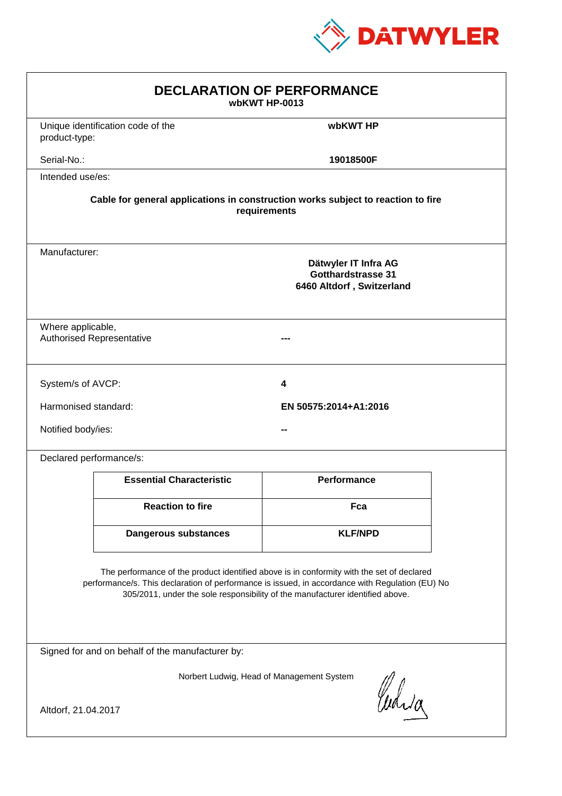

| <b>DECLARATION OF PERFORMANCE</b><br>wbKWT HP-0013                                                                                                                                                                                                                            |                                                                                                 |                       |  |  |
|-------------------------------------------------------------------------------------------------------------------------------------------------------------------------------------------------------------------------------------------------------------------------------|-------------------------------------------------------------------------------------------------|-----------------------|--|--|
| product-type:                                                                                                                                                                                                                                                                 | Unique identification code of the                                                               | wbKWT HP              |  |  |
| Serial-No.:                                                                                                                                                                                                                                                                   |                                                                                                 | 19018500F             |  |  |
| Intended use/es:                                                                                                                                                                                                                                                              |                                                                                                 |                       |  |  |
| Cable for general applications in construction works subject to reaction to fire<br>requirements                                                                                                                                                                              |                                                                                                 |                       |  |  |
|                                                                                                                                                                                                                                                                               | Manufacturer:<br>Dätwyler IT Infra AG<br><b>Gotthardstrasse 31</b><br>6460 Altdorf, Switzerland |                       |  |  |
| Where applicable,<br><b>Authorised Representative</b>                                                                                                                                                                                                                         |                                                                                                 |                       |  |  |
| System/s of AVCP:                                                                                                                                                                                                                                                             |                                                                                                 | 4                     |  |  |
| Harmonised standard:                                                                                                                                                                                                                                                          |                                                                                                 | EN 50575:2014+A1:2016 |  |  |
| Notified body/ies:                                                                                                                                                                                                                                                            |                                                                                                 |                       |  |  |
| Declared performance/s:                                                                                                                                                                                                                                                       |                                                                                                 |                       |  |  |
|                                                                                                                                                                                                                                                                               | <b>Essential Characteristic</b>                                                                 | <b>Performance</b>    |  |  |
|                                                                                                                                                                                                                                                                               | <b>Reaction to fire</b>                                                                         | Fca                   |  |  |
|                                                                                                                                                                                                                                                                               | <b>Dangerous substances</b>                                                                     | <b>KLF/NPD</b>        |  |  |
| The performance of the product identified above is in conformity with the set of declared<br>performance/s. This declaration of performance is issued, in accordance with Regulation (EU) No<br>305/2011, under the sole responsibility of the manufacturer identified above. |                                                                                                 |                       |  |  |
| Signed for and on behalf of the manufacturer by:                                                                                                                                                                                                                              |                                                                                                 |                       |  |  |
| Norbert Ludwig, Head of Management System<br>Curia                                                                                                                                                                                                                            |                                                                                                 |                       |  |  |
| Altdorf, 21.04.2017                                                                                                                                                                                                                                                           |                                                                                                 |                       |  |  |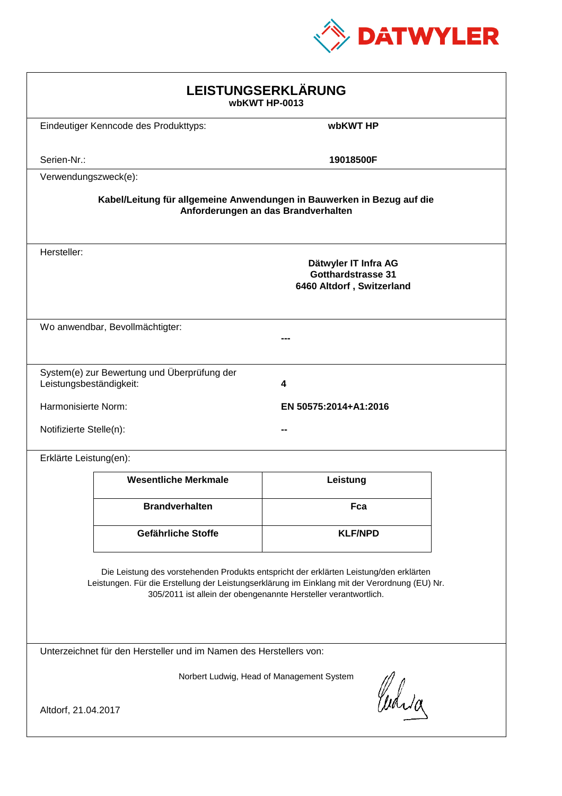

| LEISTUNGSERKLÄRUNG<br>wbKWT HP-0013                                                                                                                                                                                                                        |                                             |                                                                                |  |  |
|------------------------------------------------------------------------------------------------------------------------------------------------------------------------------------------------------------------------------------------------------------|---------------------------------------------|--------------------------------------------------------------------------------|--|--|
|                                                                                                                                                                                                                                                            | Eindeutiger Kenncode des Produkttyps:       | wbKWT HP                                                                       |  |  |
| Serien-Nr.:                                                                                                                                                                                                                                                |                                             | 19018500F                                                                      |  |  |
| Verwendungszweck(e):                                                                                                                                                                                                                                       |                                             |                                                                                |  |  |
| Kabel/Leitung für allgemeine Anwendungen in Bauwerken in Bezug auf die<br>Anforderungen an das Brandverhalten                                                                                                                                              |                                             |                                                                                |  |  |
| Hersteller:                                                                                                                                                                                                                                                |                                             | Dätwyler IT Infra AG<br><b>Gotthardstrasse 31</b><br>6460 Altdorf, Switzerland |  |  |
| Wo anwendbar, Bevollmächtigter:                                                                                                                                                                                                                            |                                             |                                                                                |  |  |
| Leistungsbeständigkeit:                                                                                                                                                                                                                                    | System(e) zur Bewertung und Überprüfung der | 4                                                                              |  |  |
| Harmonisierte Norm:                                                                                                                                                                                                                                        |                                             | EN 50575:2014+A1:2016                                                          |  |  |
| Notifizierte Stelle(n):                                                                                                                                                                                                                                    |                                             |                                                                                |  |  |
| Erklärte Leistung(en):                                                                                                                                                                                                                                     |                                             |                                                                                |  |  |
|                                                                                                                                                                                                                                                            | <b>Wesentliche Merkmale</b>                 | Leistung                                                                       |  |  |
|                                                                                                                                                                                                                                                            | <b>Brandverhalten</b>                       | Fca                                                                            |  |  |
|                                                                                                                                                                                                                                                            | Gefährliche Stoffe                          | <b>KLF/NPD</b>                                                                 |  |  |
| Die Leistung des vorstehenden Produkts entspricht der erklärten Leistung/den erklärten<br>Leistungen. Für die Erstellung der Leistungserklärung im Einklang mit der Verordnung (EU) Nr.<br>305/2011 ist allein der obengenannte Hersteller verantwortlich. |                                             |                                                                                |  |  |
| Unterzeichnet für den Hersteller und im Namen des Herstellers von:                                                                                                                                                                                         |                                             |                                                                                |  |  |
| Norbert Ludwig, Head of Management System<br>Curia<br>Altdorf, 21.04.2017                                                                                                                                                                                  |                                             |                                                                                |  |  |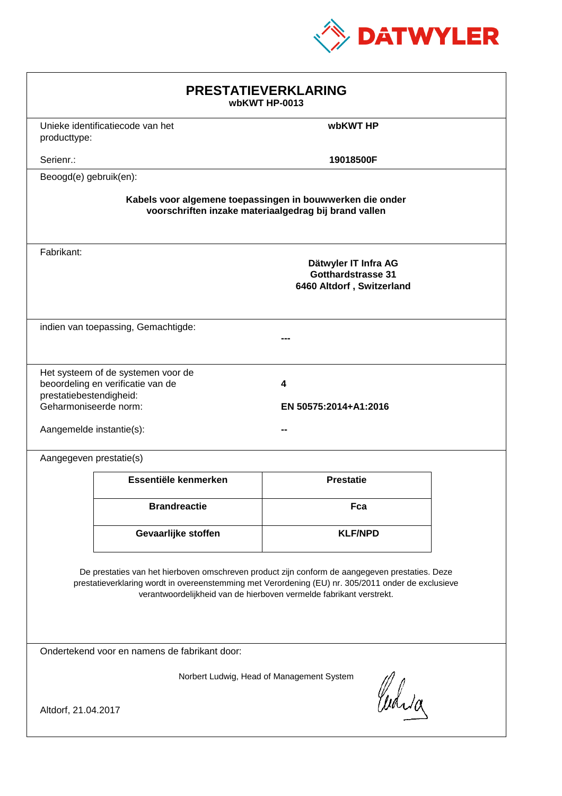

| <b>PRESTATIEVERKLARING</b><br>wbKWT HP-0013                                                                                                                                                                                                                                 |                                                                         |                                                                         |  |  |
|-----------------------------------------------------------------------------------------------------------------------------------------------------------------------------------------------------------------------------------------------------------------------------|-------------------------------------------------------------------------|-------------------------------------------------------------------------|--|--|
| producttype:                                                                                                                                                                                                                                                                | Unieke identificatiecode van het                                        | wbKWT HP                                                                |  |  |
| Serienr.:                                                                                                                                                                                                                                                                   |                                                                         | 19018500F                                                               |  |  |
| Beoogd(e) gebruik(en):                                                                                                                                                                                                                                                      |                                                                         |                                                                         |  |  |
| Kabels voor algemene toepassingen in bouwwerken die onder<br>voorschriften inzake materiaalgedrag bij brand vallen                                                                                                                                                          |                                                                         |                                                                         |  |  |
| Fabrikant:                                                                                                                                                                                                                                                                  |                                                                         | Dätwyler IT Infra AG<br>Gotthardstrasse 31<br>6460 Altdorf, Switzerland |  |  |
|                                                                                                                                                                                                                                                                             | indien van toepassing, Gemachtigde:                                     |                                                                         |  |  |
| prestatiebestendigheid:<br>Geharmoniseerde norm:<br>Aangemelde instantie(s):                                                                                                                                                                                                | Het systeem of de systemen voor de<br>beoordeling en verificatie van de | 4<br>EN 50575:2014+A1:2016                                              |  |  |
| Aangegeven prestatie(s)                                                                                                                                                                                                                                                     |                                                                         |                                                                         |  |  |
|                                                                                                                                                                                                                                                                             | Essentiële kenmerken                                                    | <b>Prestatie</b>                                                        |  |  |
|                                                                                                                                                                                                                                                                             | <b>Brandreactie</b>                                                     | Fca                                                                     |  |  |
|                                                                                                                                                                                                                                                                             | Gevaarlijke stoffen                                                     | <b>KLF/NPD</b>                                                          |  |  |
| De prestaties van het hierboven omschreven product zijn conform de aangegeven prestaties. Deze<br>prestatieverklaring wordt in overeenstemming met Verordening (EU) nr. 305/2011 onder de exclusieve<br>verantwoordelijkheid van de hierboven vermelde fabrikant verstrekt. |                                                                         |                                                                         |  |  |
| Ondertekend voor en namens de fabrikant door:                                                                                                                                                                                                                               |                                                                         |                                                                         |  |  |
| Norbert Ludwig, Head of Management System<br>Curia<br>Altdorf, 21.04.2017                                                                                                                                                                                                   |                                                                         |                                                                         |  |  |
|                                                                                                                                                                                                                                                                             |                                                                         |                                                                         |  |  |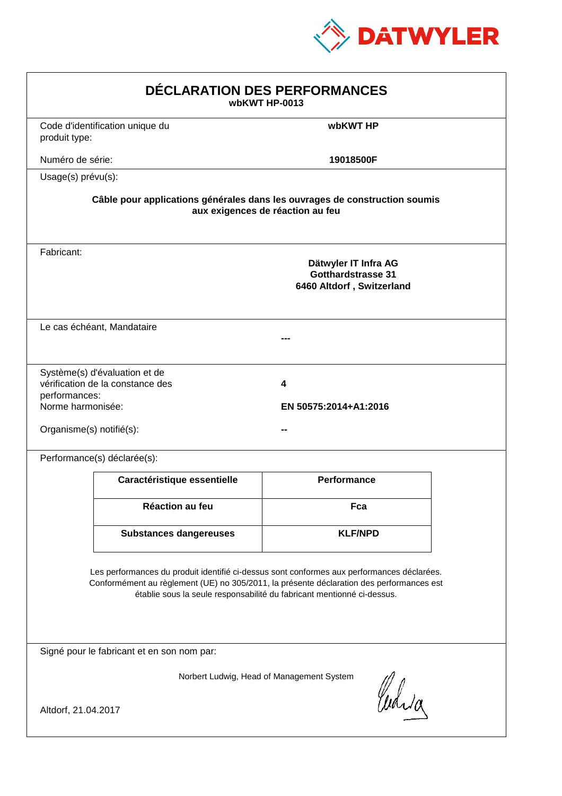

| DÉCLARATION DES PERFORMANCES<br>wbKWT HP-0013                                                                                                                                                                                                                    |                                                                                                                |                                                                                |  |  |  |
|------------------------------------------------------------------------------------------------------------------------------------------------------------------------------------------------------------------------------------------------------------------|----------------------------------------------------------------------------------------------------------------|--------------------------------------------------------------------------------|--|--|--|
| produit type:                                                                                                                                                                                                                                                    | Code d'identification unique du                                                                                | wbKWT HP                                                                       |  |  |  |
| Numéro de série:                                                                                                                                                                                                                                                 |                                                                                                                | 19018500F                                                                      |  |  |  |
| Usage(s) prévu(s):                                                                                                                                                                                                                                               |                                                                                                                |                                                                                |  |  |  |
|                                                                                                                                                                                                                                                                  | Câble pour applications générales dans les ouvrages de construction soumis<br>aux exigences de réaction au feu |                                                                                |  |  |  |
| Fabricant:                                                                                                                                                                                                                                                       |                                                                                                                | Dätwyler IT Infra AG<br><b>Gotthardstrasse 31</b><br>6460 Altdorf, Switzerland |  |  |  |
|                                                                                                                                                                                                                                                                  | Le cas échéant, Mandataire                                                                                     |                                                                                |  |  |  |
| performances:<br>Norme harmonisée:<br>Organisme(s) notifié(s):                                                                                                                                                                                                   | Système(s) d'évaluation et de<br>vérification de la constance des                                              | 4<br>EN 50575:2014+A1:2016                                                     |  |  |  |
|                                                                                                                                                                                                                                                                  | Performance(s) déclarée(s):                                                                                    |                                                                                |  |  |  |
|                                                                                                                                                                                                                                                                  | Caractéristique essentielle                                                                                    | <b>Performance</b>                                                             |  |  |  |
|                                                                                                                                                                                                                                                                  | Réaction au feu                                                                                                | Fca                                                                            |  |  |  |
|                                                                                                                                                                                                                                                                  | <b>Substances dangereuses</b>                                                                                  | <b>KLF/NPD</b>                                                                 |  |  |  |
| Les performances du produit identifié ci-dessus sont conformes aux performances déclarées.<br>Conformément au règlement (UE) no 305/2011, la présente déclaration des performances est<br>établie sous la seule responsabilité du fabricant mentionné ci-dessus. |                                                                                                                |                                                                                |  |  |  |
| Signé pour le fabricant et en son nom par:                                                                                                                                                                                                                       |                                                                                                                |                                                                                |  |  |  |
| Norbert Ludwig, Head of Management System<br>Curia<br>Altdorf, 21.04.2017                                                                                                                                                                                        |                                                                                                                |                                                                                |  |  |  |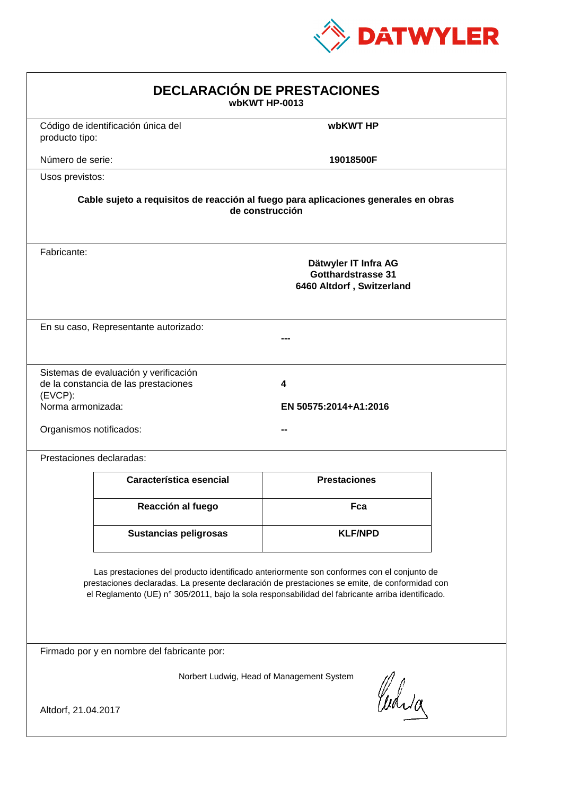

| <b>DECLARACIÓN DE PRESTACIONES</b><br>wbKWT HP-0013                                                                                                                                                                                                                                            |                                                                                                        |                            |  |  |  |
|------------------------------------------------------------------------------------------------------------------------------------------------------------------------------------------------------------------------------------------------------------------------------------------------|--------------------------------------------------------------------------------------------------------|----------------------------|--|--|--|
| producto tipo:                                                                                                                                                                                                                                                                                 | Código de identificación única del                                                                     | wbKWT HP                   |  |  |  |
| Número de serie:                                                                                                                                                                                                                                                                               |                                                                                                        | 19018500F                  |  |  |  |
| Usos previstos:                                                                                                                                                                                                                                                                                |                                                                                                        |                            |  |  |  |
|                                                                                                                                                                                                                                                                                                | Cable sujeto a requisitos de reacción al fuego para aplicaciones generales en obras<br>de construcción |                            |  |  |  |
| Fabricante:                                                                                                                                                                                                                                                                                    | Dätwyler IT Infra AG<br><b>Gotthardstrasse 31</b><br>6460 Altdorf, Switzerland                         |                            |  |  |  |
|                                                                                                                                                                                                                                                                                                | En su caso, Representante autorizado:                                                                  |                            |  |  |  |
| (EVCP):<br>Norma armonizada:<br>Organismos notificados:                                                                                                                                                                                                                                        | Sistemas de evaluación y verificación<br>de la constancia de las prestaciones                          | 4<br>EN 50575:2014+A1:2016 |  |  |  |
|                                                                                                                                                                                                                                                                                                | Prestaciones declaradas:                                                                               |                            |  |  |  |
|                                                                                                                                                                                                                                                                                                | Característica esencial                                                                                | <b>Prestaciones</b>        |  |  |  |
|                                                                                                                                                                                                                                                                                                | Reacción al fuego                                                                                      | Fca                        |  |  |  |
|                                                                                                                                                                                                                                                                                                | <b>Sustancias peligrosas</b>                                                                           | <b>KLF/NPD</b>             |  |  |  |
| Las prestaciones del producto identificado anteriormente son conformes con el conjunto de<br>prestaciones declaradas. La presente declaración de prestaciones se emite, de conformidad con<br>el Reglamento (UE) nº 305/2011, bajo la sola responsabilidad del fabricante arriba identificado. |                                                                                                        |                            |  |  |  |
|                                                                                                                                                                                                                                                                                                | Firmado por y en nombre del fabricante por:                                                            |                            |  |  |  |
| Norbert Ludwig, Head of Management System<br>Curia<br>Altdorf, 21.04.2017                                                                                                                                                                                                                      |                                                                                                        |                            |  |  |  |